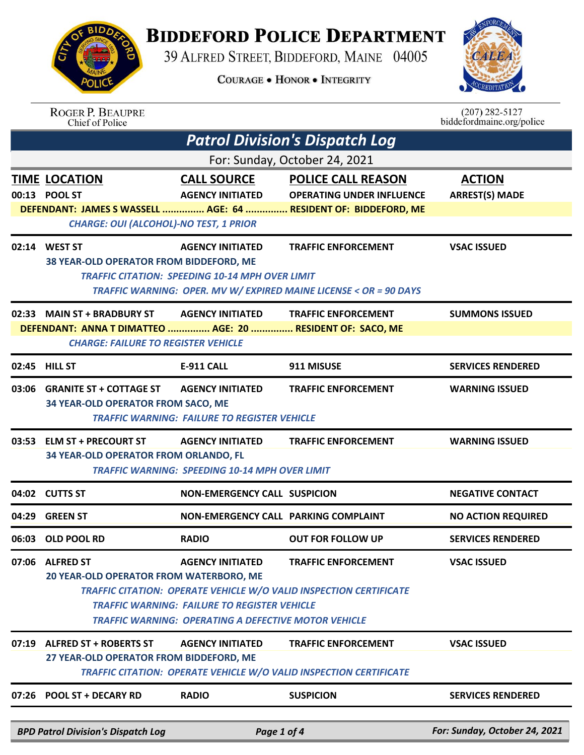## **BIDDEFORD POLICE DEPARTMENT**

39 ALFRED STREET, BIDDEFORD, MAINE 04005

**COURAGE . HONOR . INTEGRITY** 



|       | <b>ROGER P. BEAUPRE</b><br>Chief of Police                                                                                                                                                                                          |                                                        |                                                                   | $(207)$ 282-5127<br>biddefordmaine.org/police |  |
|-------|-------------------------------------------------------------------------------------------------------------------------------------------------------------------------------------------------------------------------------------|--------------------------------------------------------|-------------------------------------------------------------------|-----------------------------------------------|--|
|       |                                                                                                                                                                                                                                     |                                                        | <b>Patrol Division's Dispatch Log</b>                             |                                               |  |
|       |                                                                                                                                                                                                                                     |                                                        | For: Sunday, October 24, 2021                                     |                                               |  |
|       | <b>TIME LOCATION</b>                                                                                                                                                                                                                | <b>CALL SOURCE</b>                                     | <b>POLICE CALL REASON</b>                                         | <b>ACTION</b>                                 |  |
|       | 00:13 POOL ST                                                                                                                                                                                                                       | <b>AGENCY INITIATED</b>                                | <b>OPERATING UNDER INFLUENCE</b>                                  | <b>ARREST(S) MADE</b>                         |  |
|       |                                                                                                                                                                                                                                     |                                                        | DEFENDANT: JAMES S WASSELL  AGE: 64  RESIDENT OF: BIDDEFORD, ME   |                                               |  |
|       | <b>CHARGE: OUI (ALCOHOL)-NO TEST, 1 PRIOR</b>                                                                                                                                                                                       |                                                        |                                                                   |                                               |  |
|       | 02:14 WEST ST                                                                                                                                                                                                                       | <b>AGENCY INITIATED</b>                                | <b>TRAFFIC ENFORCEMENT</b>                                        | <b>VSAC ISSUED</b>                            |  |
|       | 38 YEAR-OLD OPERATOR FROM BIDDEFORD, ME                                                                                                                                                                                             | <b>TRAFFIC CITATION: SPEEDING 10-14 MPH OVER LIMIT</b> |                                                                   |                                               |  |
|       |                                                                                                                                                                                                                                     |                                                        | TRAFFIC WARNING: OPER. MV W/ EXPIRED MAINE LICENSE < OR = 90 DAYS |                                               |  |
|       | 02:33 MAIN ST + BRADBURY ST                                                                                                                                                                                                         | <b>AGENCY INITIATED</b>                                | <b>TRAFFIC ENFORCEMENT</b>                                        | <b>SUMMONS ISSUED</b>                         |  |
|       | DEFENDANT: ANNA T DIMATTEO  AGE: 20  RESIDENT OF: SACO, ME                                                                                                                                                                          |                                                        |                                                                   |                                               |  |
|       | <b>CHARGE: FAILURE TO REGISTER VEHICLE</b>                                                                                                                                                                                          |                                                        |                                                                   |                                               |  |
|       | 02:45 HILL ST                                                                                                                                                                                                                       | <b>E-911 CALL</b>                                      | 911 MISUSE                                                        | <b>SERVICES RENDERED</b>                      |  |
|       | 03:06 GRANITE ST + COTTAGE ST                                                                                                                                                                                                       | <b>AGENCY INITIATED</b>                                | <b>TRAFFIC ENFORCEMENT</b>                                        | <b>WARNING ISSUED</b>                         |  |
|       | 34 YEAR-OLD OPERATOR FROM SACO, ME                                                                                                                                                                                                  |                                                        |                                                                   |                                               |  |
|       |                                                                                                                                                                                                                                     | <b>TRAFFIC WARNING: FAILURE TO REGISTER VEHICLE</b>    |                                                                   |                                               |  |
|       | 03:53 ELM ST + PRECOURT ST                                                                                                                                                                                                          | <b>AGENCY INITIATED</b>                                | <b>TRAFFIC ENFORCEMENT</b>                                        | <b>WARNING ISSUED</b>                         |  |
|       | 34 YEAR-OLD OPERATOR FROM ORLANDO, FL                                                                                                                                                                                               |                                                        |                                                                   |                                               |  |
|       |                                                                                                                                                                                                                                     | <b>TRAFFIC WARNING: SPEEDING 10-14 MPH OVER LIMIT</b>  |                                                                   |                                               |  |
|       | 04:02 CUTTS ST                                                                                                                                                                                                                      | <b>NON-EMERGENCY CALL SUSPICION</b>                    |                                                                   | <b>NEGATIVE CONTACT</b>                       |  |
|       | 04:29 GREEN ST                                                                                                                                                                                                                      | NON-EMERGENCY CALL PARKING COMPLAINT                   |                                                                   | <b>NO ACTION REQUIRED</b>                     |  |
|       | 06:03 OLD POOL RD                                                                                                                                                                                                                   | <b>RADIO</b>                                           | <b>OUT FOR FOLLOW UP</b>                                          | <b>SERVICES RENDERED</b>                      |  |
|       | 07:06 ALFRED ST                                                                                                                                                                                                                     | <b>AGENCY INITIATED</b>                                | <b>TRAFFIC ENFORCEMENT</b>                                        | <b>VSAC ISSUED</b>                            |  |
|       | 20 YEAR-OLD OPERATOR FROM WATERBORO, ME<br>TRAFFIC CITATION: OPERATE VEHICLE W/O VALID INSPECTION CERTIFICATE<br><b>TRAFFIC WARNING: FAILURE TO REGISTER VEHICLE</b><br><b>TRAFFIC WARNING: OPERATING A DEFECTIVE MOTOR VEHICLE</b> |                                                        |                                                                   |                                               |  |
|       |                                                                                                                                                                                                                                     |                                                        |                                                                   |                                               |  |
|       |                                                                                                                                                                                                                                     |                                                        |                                                                   |                                               |  |
|       |                                                                                                                                                                                                                                     |                                                        |                                                                   |                                               |  |
| 07:19 | <b>ALFRED ST + ROBERTS ST</b><br>27 YEAR-OLD OPERATOR FROM BIDDEFORD, ME                                                                                                                                                            | <b>AGENCY INITIATED</b>                                | <b>TRAFFIC ENFORCEMENT</b>                                        | <b>VSAC ISSUED</b>                            |  |
|       | TRAFFIC CITATION: OPERATE VEHICLE W/O VALID INSPECTION CERTIFICATE                                                                                                                                                                  |                                                        |                                                                   |                                               |  |
|       | 07:26 POOL ST + DECARY RD                                                                                                                                                                                                           | <b>RADIO</b>                                           | <b>SUSPICION</b>                                                  | <b>SERVICES RENDERED</b>                      |  |
|       |                                                                                                                                                                                                                                     |                                                        |                                                                   |                                               |  |
|       | <b>BPD Patrol Division's Dispatch Log</b>                                                                                                                                                                                           | Page 1 of 4                                            |                                                                   | For: Sunday, October 24, 2021                 |  |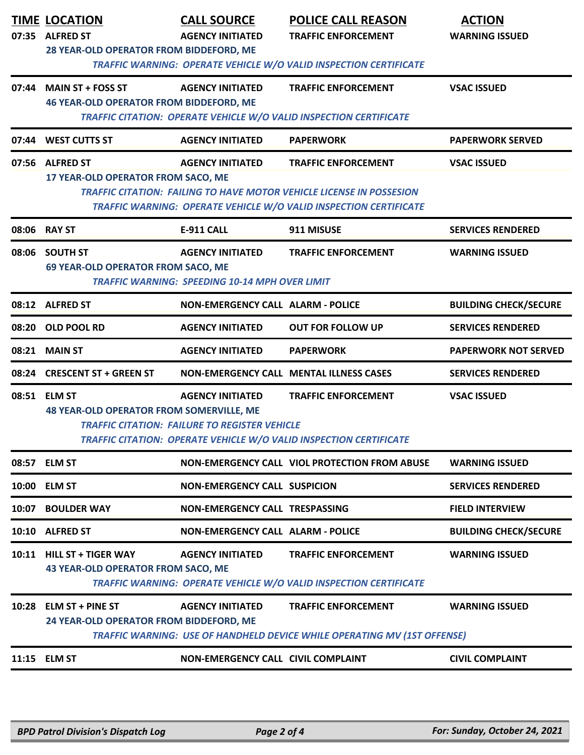|       | <b>TIME LOCATION</b><br>07:35 ALFRED ST<br>28 YEAR-OLD OPERATOR FROM BIDDEFORD, ME | <b>CALL SOURCE</b><br><b>AGENCY INITIATED</b>                                    | <b>POLICE CALL REASON</b><br><b>TRAFFIC ENFORCEMENT</b><br>TRAFFIC WARNING: OPERATE VEHICLE W/O VALID INSPECTION CERTIFICATE                                                   | <b>ACTION</b><br><b>WARNING ISSUED</b> |
|-------|------------------------------------------------------------------------------------|----------------------------------------------------------------------------------|--------------------------------------------------------------------------------------------------------------------------------------------------------------------------------|----------------------------------------|
|       | 07:44 MAIN ST + FOSS ST<br><b>46 YEAR-OLD OPERATOR FROM BIDDEFORD, ME</b>          | <b>AGENCY INITIATED</b>                                                          | <b>TRAFFIC ENFORCEMENT</b><br>TRAFFIC CITATION: OPERATE VEHICLE W/O VALID INSPECTION CERTIFICATE                                                                               | <b>VSAC ISSUED</b>                     |
|       | 07:44 WEST CUTTS ST                                                                | <b>AGENCY INITIATED</b>                                                          | <b>PAPERWORK</b>                                                                                                                                                               | <b>PAPERWORK SERVED</b>                |
|       | 07:56 ALFRED ST<br>17 YEAR-OLD OPERATOR FROM SACO, ME                              | <b>AGENCY INITIATED</b>                                                          | <b>TRAFFIC ENFORCEMENT</b><br><b>TRAFFIC CITATION: FAILING TO HAVE MOTOR VEHICLE LICENSE IN POSSESION</b><br>TRAFFIC WARNING: OPERATE VEHICLE W/O VALID INSPECTION CERTIFICATE | <b>VSAC ISSUED</b>                     |
|       | 08:06 RAY ST                                                                       | <b>E-911 CALL</b>                                                                | 911 MISUSE                                                                                                                                                                     | <b>SERVICES RENDERED</b>               |
| 08:06 | <b>SOUTH ST</b><br><b>69 YEAR-OLD OPERATOR FROM SACO, ME</b>                       | <b>AGENCY INITIATED</b><br><b>TRAFFIC WARNING: SPEEDING 10-14 MPH OVER LIMIT</b> | <b>TRAFFIC ENFORCEMENT</b>                                                                                                                                                     | <b>WARNING ISSUED</b>                  |
|       | 08:12 ALFRED ST                                                                    | <b>NON-EMERGENCY CALL ALARM - POLICE</b>                                         |                                                                                                                                                                                | <b>BUILDING CHECK/SECURE</b>           |
|       | 08:20 OLD POOL RD                                                                  | <b>AGENCY INITIATED</b>                                                          | <b>OUT FOR FOLLOW UP</b>                                                                                                                                                       | <b>SERVICES RENDERED</b>               |
|       | 08:21 MAIN ST                                                                      | <b>AGENCY INITIATED</b>                                                          | <b>PAPERWORK</b>                                                                                                                                                               | <b>PAPERWORK NOT SERVED</b>            |
| 08:24 | <b>CRESCENT ST + GREEN ST</b>                                                      |                                                                                  | NON-EMERGENCY CALL MENTAL ILLNESS CASES                                                                                                                                        | <b>SERVICES RENDERED</b>               |
|       | 08:51 ELM ST<br><b>48 YEAR-OLD OPERATOR FROM SOMERVILLE, ME</b>                    | <b>AGENCY INITIATED</b><br><b>TRAFFIC CITATION: FAILURE TO REGISTER VEHICLE</b>  | <b>TRAFFIC ENFORCEMENT</b><br>TRAFFIC CITATION: OPERATE VEHICLE W/O VALID INSPECTION CERTIFICATE                                                                               | <b>VSAC ISSUED</b>                     |
|       | 08:57 ELM ST                                                                       |                                                                                  | NON-EMERGENCY CALL VIOL PROTECTION FROM ABUSE                                                                                                                                  | <b>WARNING ISSUED</b>                  |
| 10:00 | <b>ELM ST</b>                                                                      | <b>NON-EMERGENCY CALL SUSPICION</b>                                              |                                                                                                                                                                                | <b>SERVICES RENDERED</b>               |
| 10:07 | <b>BOULDER WAY</b>                                                                 | <b>NON-EMERGENCY CALL TRESPASSING</b>                                            |                                                                                                                                                                                | <b>FIELD INTERVIEW</b>                 |
| 10:10 | <b>ALFRED ST</b>                                                                   | <b>NON-EMERGENCY CALL ALARM - POLICE</b>                                         |                                                                                                                                                                                | <b>BUILDING CHECK/SECURE</b>           |
| 10:11 | <b>HILL ST + TIGER WAY</b><br><b>43 YEAR-OLD OPERATOR FROM SACO, ME</b>            | <b>AGENCY INITIATED</b>                                                          | <b>TRAFFIC ENFORCEMENT</b><br>TRAFFIC WARNING: OPERATE VEHICLE W/O VALID INSPECTION CERTIFICATE                                                                                | <b>WARNING ISSUED</b>                  |
|       | 10:28 ELM ST + PINE ST<br>24 YEAR-OLD OPERATOR FROM BIDDEFORD, ME                  | <b>AGENCY INITIATED</b>                                                          | <b>TRAFFIC ENFORCEMENT</b><br>TRAFFIC WARNING: USE OF HANDHELD DEVICE WHILE OPERATING MV (1ST OFFENSE)                                                                         | <b>WARNING ISSUED</b>                  |
|       | 11:15 ELM ST                                                                       | NON-EMERGENCY CALL CIVIL COMPLAINT                                               |                                                                                                                                                                                | <b>CIVIL COMPLAINT</b>                 |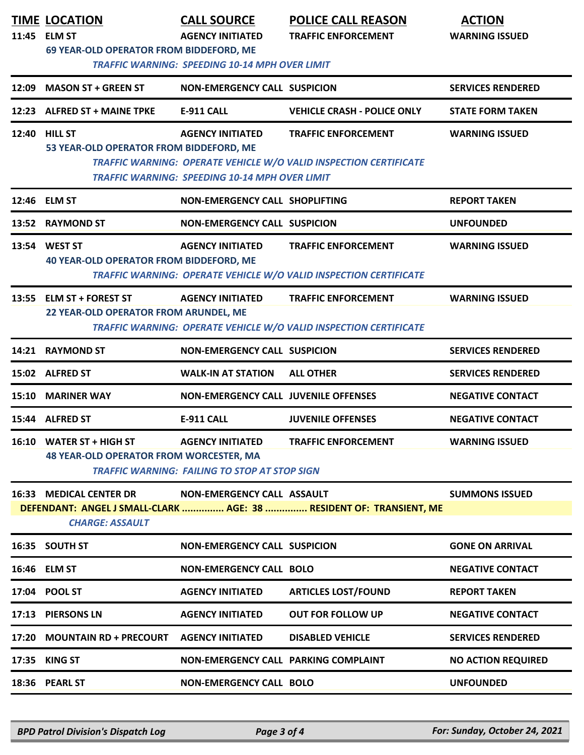|       | <b>TIME LOCATION</b><br>11:45 ELM ST<br>69 YEAR-OLD OPERATOR FROM BIDDEFORD, ME | <b>CALL SOURCE</b><br><b>AGENCY INITIATED</b><br><b>TRAFFIC WARNING: SPEEDING 10-14 MPH OVER LIMIT</b> | <b>POLICE CALL REASON</b><br><b>TRAFFIC ENFORCEMENT</b>                                                | <b>ACTION</b><br><b>WARNING ISSUED</b> |
|-------|---------------------------------------------------------------------------------|--------------------------------------------------------------------------------------------------------|--------------------------------------------------------------------------------------------------------|----------------------------------------|
| 12:09 | <b>MASON ST + GREEN ST</b>                                                      | <b>NON-EMERGENCY CALL SUSPICION</b>                                                                    |                                                                                                        | <b>SERVICES RENDERED</b>               |
|       | 12:23 ALFRED ST + MAINE TPKE                                                    | E-911 CALL                                                                                             | <b>VEHICLE CRASH - POLICE ONLY</b>                                                                     | <b>STATE FORM TAKEN</b>                |
|       | <b>12:40 HILL ST</b><br>53 YEAR-OLD OPERATOR FROM BIDDEFORD, ME                 | <b>AGENCY INITIATED</b><br><b>TRAFFIC WARNING: SPEEDING 10-14 MPH OVER LIMIT</b>                       | <b>TRAFFIC ENFORCEMENT</b><br>TRAFFIC WARNING: OPERATE VEHICLE W/O VALID INSPECTION CERTIFICATE        | <b>WARNING ISSUED</b>                  |
|       | 12:46 ELM ST                                                                    | <b>NON-EMERGENCY CALL SHOPLIFTING</b>                                                                  |                                                                                                        | <b>REPORT TAKEN</b>                    |
|       | 13:52 RAYMOND ST                                                                | <b>NON-EMERGENCY CALL SUSPICION</b>                                                                    |                                                                                                        | <b>UNFOUNDED</b>                       |
|       | 13:54 WEST ST<br><b>40 YEAR-OLD OPERATOR FROM BIDDEFORD, ME</b>                 | <b>AGENCY INITIATED</b>                                                                                | <b>TRAFFIC ENFORCEMENT</b><br>TRAFFIC WARNING: OPERATE VEHICLE W/O VALID INSPECTION CERTIFICATE        | <b>WARNING ISSUED</b>                  |
|       | 13:55 ELM ST + FOREST ST<br>22 YEAR-OLD OPERATOR FROM ARUNDEL, ME               | <b>AGENCY INITIATED</b>                                                                                | <b>TRAFFIC ENFORCEMENT</b><br><b>TRAFFIC WARNING: OPERATE VEHICLE W/O VALID INSPECTION CERTIFICATE</b> | <b>WARNING ISSUED</b>                  |
|       | 14:21 RAYMOND ST                                                                | <b>NON-EMERGENCY CALL SUSPICION</b>                                                                    |                                                                                                        | <b>SERVICES RENDERED</b>               |
|       | 15:02 ALFRED ST                                                                 | <b>WALK-IN AT STATION</b>                                                                              | <b>ALL OTHER</b>                                                                                       | <b>SERVICES RENDERED</b>               |
|       | <b>15:10 MARINER WAY</b>                                                        | <b>NON-EMERGENCY CALL JUVENILE OFFENSES</b>                                                            |                                                                                                        | <b>NEGATIVE CONTACT</b>                |
|       | 15:44 ALFRED ST                                                                 | <b>E-911 CALL</b>                                                                                      | <b>JUVENILE OFFENSES</b>                                                                               | <b>NEGATIVE CONTACT</b>                |
|       | 16:10 WATER ST + HIGH ST<br>48 YEAR-OLD OPERATOR FROM WORCESTER, MA             | <b>AGENCY INITIATED</b><br><b>TRAFFIC WARNING: FAILING TO STOP AT STOP SIGN</b>                        | <b>TRAFFIC ENFORCEMENT</b>                                                                             | <b>WARNING ISSUED</b>                  |
|       | <b>16:33 MEDICAL CENTER DR</b><br><b>CHARGE: ASSAULT</b>                        | NON-EMERGENCY CALL ASSAULT                                                                             | DEFENDANT: ANGEL J SMALL-CLARK  AGE: 38  RESIDENT OF: TRANSIENT, ME                                    | <b>SUMMONS ISSUED</b>                  |
|       | 16:35 SOUTH ST                                                                  | <b>NON-EMERGENCY CALL SUSPICION</b>                                                                    |                                                                                                        | <b>GONE ON ARRIVAL</b>                 |
|       | 16:46 ELM ST                                                                    | <b>NON-EMERGENCY CALL BOLO</b>                                                                         |                                                                                                        | <b>NEGATIVE CONTACT</b>                |
|       | 17:04 POOL ST                                                                   | <b>AGENCY INITIATED</b>                                                                                | <b>ARTICLES LOST/FOUND</b>                                                                             | <b>REPORT TAKEN</b>                    |
| 17:13 | <b>PIERSONS LN</b>                                                              | <b>AGENCY INITIATED</b>                                                                                | <b>OUT FOR FOLLOW UP</b>                                                                               | <b>NEGATIVE CONTACT</b>                |
| 17:20 | <b>MOUNTAIN RD + PRECOURT</b>                                                   | <b>AGENCY INITIATED</b>                                                                                | <b>DISABLED VEHICLE</b>                                                                                | <b>SERVICES RENDERED</b>               |
| 17:35 | <b>KING ST</b>                                                                  | NON-EMERGENCY CALL PARKING COMPLAINT                                                                   |                                                                                                        | <b>NO ACTION REQUIRED</b>              |
|       | 18:36 PEARL ST                                                                  | <b>NON-EMERGENCY CALL BOLO</b>                                                                         |                                                                                                        | <b>UNFOUNDED</b>                       |